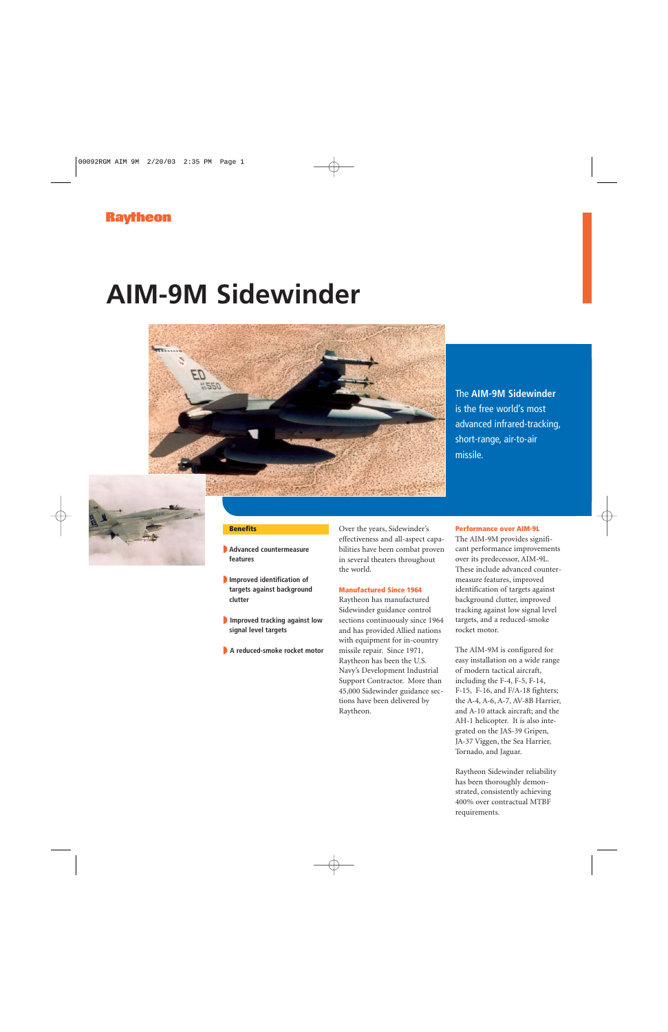## **AIM-9M Sidewinder**



The **AIM-9M Sidewinder** is the free world's most advanced infrared-tracking, short-range, air-to-air missile.



## **Benefits**

- ◗ **Advanced countermeasure features**
- ◗ **Improved identification of targets against background clutter**
- ◗ **Improved tracking against low signal level targets**
- ◗ **A reduced-smoke rocket motor**

Over the years, Sidewinder's effectiveness and all-aspect capabilities have been combat proven in several theaters throughout the world.

## **Manufactured Since 1964**

Raytheon has manufactured Sidewinder guidance control sections continuously since 1964 and has provided Allied nations with equipment for in-country missile repair. Since 1971, Raytheon has been the U.S. Navy's Development Industrial Support Contractor. More than 45,000 Sidewinder guidance sections have been delivered by Raytheon.

## **Performance over AIM-9L**

The AIM-9M provides significant performance improvements over its predecessor, AIM-9L. These include advanced countermeasure features, improved identification of targets against background clutter, improved tracking against low signal level targets, and a reduced-smoke rocket motor.

The AIM-9M is configured for easy installation on a wide range of modern tactical aircraft, including the F-4, F-5, F-14, F-15, F-16, and F/A-18 fighters; the A-4, A-6, A-7, AV-8B Harrier, and A-10 attack aircraft; and the AH-1 helicopter. It is also integrated on the JAS-39 Gripen, JA-37 Viggen, the Sea Harrier, Tornado, and Jaguar.

Raytheon Sidewinder reliability has been thoroughly demonstrated, consistently achieving 400% over contractual MTBF requirements.